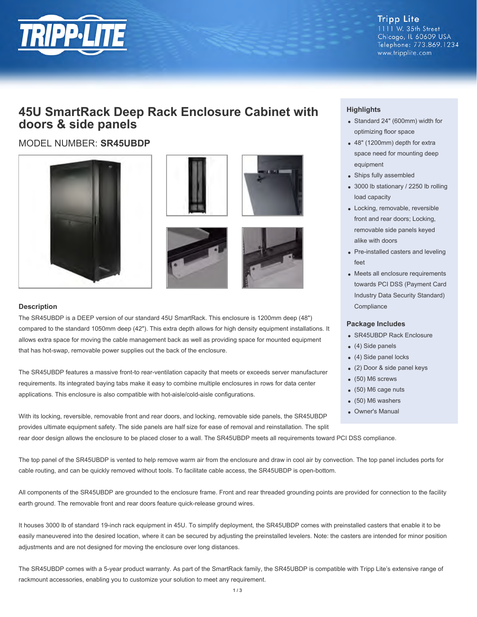

**Tripp Lite** 1111 W. 35th Street Chicago, IL 60609 USA Telephone: 773.869.1234 www.tripplite.com

# **45U SmartRack Deep Rack Enclosure Cabinet with doors & side panels**

MODEL NUMBER: **SR45UBDP**









## **Description**

The SR45UBDP is a DEEP version of our standard 45U SmartRack. This enclosure is 1200mm deep (48") compared to the standard 1050mm deep (42"). This extra depth allows for high density equipment installations. It allows extra space for moving the cable management back as well as providing space for mounted equipment that has hot-swap, removable power supplies out the back of the enclosure.

The SR45UBDP features a massive front-to rear-ventilation capacity that meets or exceeds server manufacturer requirements. Its integrated baying tabs make it easy to combine multiple enclosures in rows for data center applications. This enclosure is also compatible with hot-aisle/cold-aisle configurations.

With its locking, reversible, removable front and rear doors, and locking, removable side panels, the SR45UBDP provides ultimate equipment safety. The side panels are half size for ease of removal and reinstallation. The split

rear door design allows the enclosure to be placed closer to a wall. The SR45UBDP meets all requirements toward PCI DSS compliance.

The top panel of the SR45UBDP is vented to help remove warm air from the enclosure and draw in cool air by convection. The top panel includes ports for cable routing, and can be quickly removed without tools. To facilitate cable access, the SR45UBDP is open-bottom.

All components of the SR45UBDP are grounded to the enclosure frame. Front and rear threaded grounding points are provided for connection to the facility earth ground. The removable front and rear doors feature quick-release ground wires.

It houses 3000 lb of standard 19-inch rack equipment in 45U. To simplify deployment, the SR45UBDP comes with preinstalled casters that enable it to be easily maneuvered into the desired location, where it can be secured by adjusting the preinstalled levelers. Note: the casters are intended for minor position adjustments and are not designed for moving the enclosure over long distances.

The SR45UBDP comes with a 5-year product warranty. As part of the SmartRack family, the SR45UBDP is compatible with Tripp Lite's extensive range of rackmount accessories, enabling you to customize your solution to meet any requirement.

# **Highlights**

- Standard 24" (600mm) width for optimizing floor space
- 48" (1200mm) depth for extra space need for mounting deep equipment
- Ships fully assembled
- 3000 lb stationary / 2250 lb rolling load capacity
- Locking, removable, reversible front and rear doors; Locking, removable side panels keyed alike with doors
- Pre-installed casters and leveling feet
- Meets all enclosure requirements towards PCI DSS (Payment Card Industry Data Security Standard) **Compliance**

#### **Package Includes**

- SR45UBDP Rack Enclosure
- (4) Side panels
- (4) Side panel locks
- (2) Door & side panel keys
- (50) M6 screws
- (50) M6 cage nuts
- (50) M6 washers
- Owner's Manual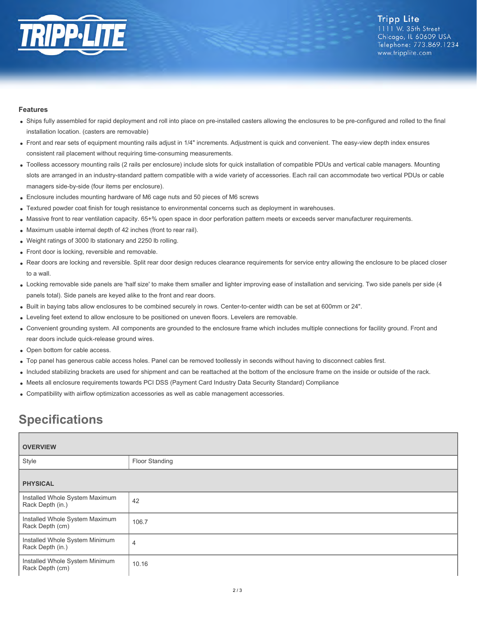

## **Features**

- Ships fully assembled for rapid deployment and roll into place on pre-installed casters allowing the enclosures to be pre-configured and rolled to the final installation location. (casters are removable)
- Front and rear sets of equipment mounting rails adjust in 1/4" increments. Adjustment is quick and convenient. The easy-view depth index ensures consistent rail placement without requiring time-consuming measurements.
- Toolless accessory mounting rails (2 rails per enclosure) include slots for quick installation of compatible PDUs and vertical cable managers. Mounting slots are arranged in an industry-standard pattern compatible with a wide variety of accessories. Each rail can accommodate two vertical PDUs or cable managers side-by-side (four items per enclosure).
- Enclosure includes mounting hardware of M6 cage nuts and 50 pieces of M6 screws
- Textured powder coat finish for tough resistance to environmental concerns such as deployment in warehouses.
- Massive front to rear ventilation capacity. 65+% open space in door perforation pattern meets or exceeds server manufacturer requirements.
- Maximum usable internal depth of 42 inches (front to rear rail).
- Weight ratings of 3000 lb stationary and 2250 lb rolling.
- Front door is locking, reversible and removable.
- Rear doors are locking and reversible. Split rear door design reduces clearance requirements for service entry allowing the enclosure to be placed closer to a wall.
- Locking removable side panels are 'half size' to make them smaller and lighter improving ease of installation and servicing. Two side panels per side (4 panels total). Side panels are keyed alike to the front and rear doors.
- Built in baying tabs allow enclosures to be combined securely in rows. Center-to-center width can be set at 600mm or 24".
- Leveling feet extend to allow enclosure to be positioned on uneven floors. Levelers are removable.
- Convenient grounding system. All components are grounded to the enclosure frame which includes multiple connections for facility ground. Front and rear doors include quick-release ground wires.
- Open bottom for cable access.
- Top panel has generous cable access holes. Panel can be removed toollessly in seconds without having to disconnect cables first.
- Included stabilizing brackets are used for shipment and can be reattached at the bottom of the enclosure frame on the inside or outside of the rack.
- Meets all enclosure requirements towards PCI DSS (Payment Card Industry Data Security Standard) Compliance
- Compatibility with airflow optimization accessories as well as cable management accessories.

# **Specifications**

| <b>OVERVIEW</b>                                    |                |
|----------------------------------------------------|----------------|
| Style                                              | Floor Standing |
| <b>PHYSICAL</b>                                    |                |
| Installed Whole System Maximum<br>Rack Depth (in.) | 42             |
| Installed Whole System Maximum<br>Rack Depth (cm)  | 106.7          |
| Installed Whole System Minimum<br>Rack Depth (in.) | $\overline{4}$ |
| Installed Whole System Minimum<br>Rack Depth (cm)  | 10.16          |